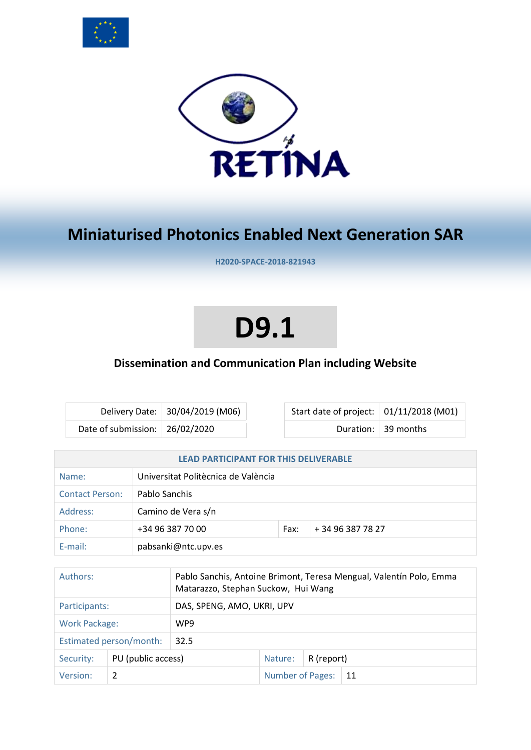



# **Miniaturised Photonics Enabled Next Generation SAR**

**H2020-SPACE-2018-821943**

# **D9.1**

# **Dissemination and Communication Plan including Website**

|                                  | Delivery Date: 30/04/2019 (M06) |
|----------------------------------|---------------------------------|
| Date of submission:   26/02/2020 |                                 |

Start date of project:  $\vert$  01/11/2018 (M01) Duration:  $\vert$  39 months

| <b>LEAD PARTICIPANT FOR THIS DELIVERABLE</b>                                                                           |                  |                                     |      |                   |
|------------------------------------------------------------------------------------------------------------------------|------------------|-------------------------------------|------|-------------------|
| Name:                                                                                                                  |                  | Universitat Politècnica de València |      |                   |
| <b>Contact Person:</b>                                                                                                 |                  | Pablo Sanchis                       |      |                   |
| Address:                                                                                                               |                  | Camino de Vera s/n                  |      |                   |
| Phone:                                                                                                                 | +34 96 387 70 00 |                                     | Fax: | + 34 96 387 78 27 |
| $E$ -mail:                                                                                                             |                  | pabsanki@ntc.upv.es                 |      |                   |
|                                                                                                                        |                  |                                     |      |                   |
| Authors:<br>Pablo Sanchis, Antoine Brimont, Teresa Mengual, Valentín Polo, Emma<br>Matarazzo, Stephan Suckow, Hui Wang |                  |                                     |      |                   |
| DAS, SPENG, AMO, UKRI, UPV<br>Participants:                                                                            |                  |                                     |      |                   |
| <b>Work Package:</b>                                                                                                   |                  | WP9                                 |      |                   |
| Estimated person/month:                                                                                                |                  | 32.5                                |      |                   |

Security: PU (public access) Nature: R (report)

Version: 2 Number of Pages: 21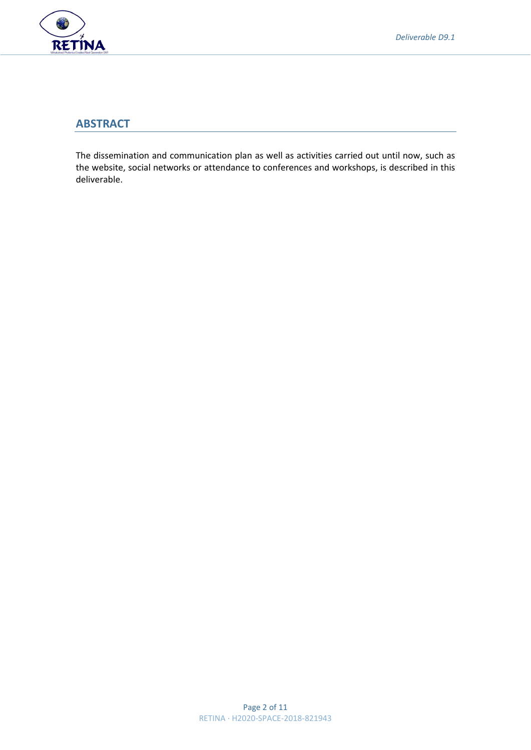

# **ABSTRACT**

The dissemination and communication plan as well as activities carried out until now, such as the website, social networks or attendance to conferences and workshops, is described in this deliverable.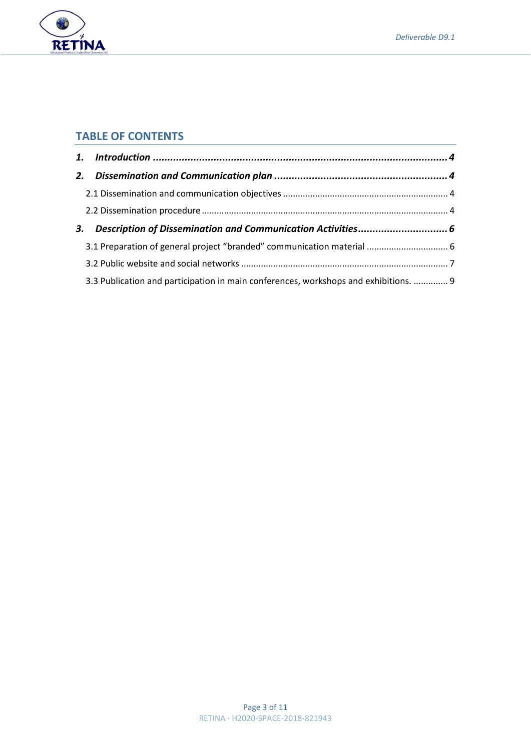



# **TABLE OF CONTENTS**

| 3. Description of Dissemination and Communication Activities 6                       |  |
|--------------------------------------------------------------------------------------|--|
|                                                                                      |  |
|                                                                                      |  |
| 3.3 Publication and participation in main conferences, workshops and exhibitions.  9 |  |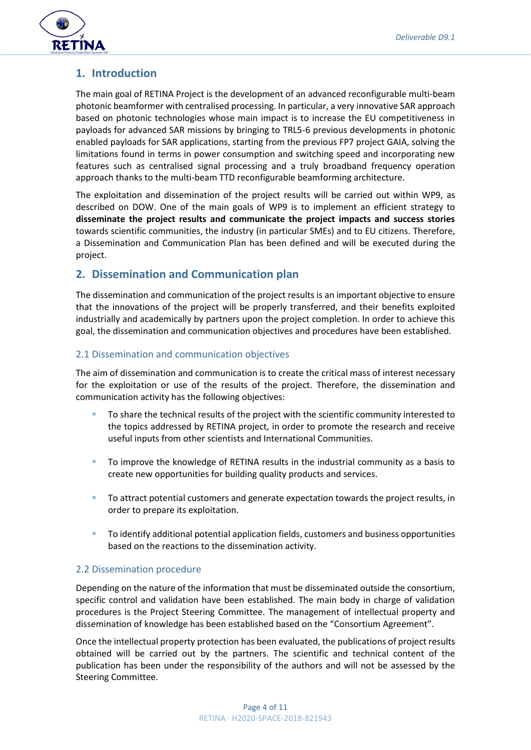

# <span id="page-3-0"></span>**1. Introduction**

The main goal of RETINA Project is the development of an advanced reconfigurable multi-beam photonic beamformer with centralised processing. In particular, a very innovative SAR approach based on photonic technologies whose main impact is to increase the EU competitiveness in payloads for advanced SAR missions by bringing to TRL5-6 previous developments in photonic enabled payloads for SAR applications, starting from the previous FP7 project GAIA, solving the limitations found in terms in power consumption and switching speed and incorporating new features such as centralised signal processing and a truly broadband frequency operation approach thanks to the multi-beam TTD reconfigurable beamforming architecture.

The exploitation and dissemination of the project results will be carried out within WP9, as described on DOW. One of the main goals of WP9 is to implement an efficient strategy to **disseminate the project results and communicate the project impacts and success stories**  towards scientific communities, the industry (in particular SMEs) and to EU citizens. Therefore, a Dissemination and Communication Plan has been defined and will be executed during the project.

# <span id="page-3-1"></span>**2. Dissemination and Communication plan**

The dissemination and communication of the project results is an important objective to ensure that the innovations of the project will be properly transferred, and their benefits exploited industrially and academically by partners upon the project completion. In order to achieve this goal, the dissemination and communication objectives and procedures have been established.

# <span id="page-3-2"></span>2.1 Dissemination and communication objectives

The aim of dissemination and communication is to create the critical mass of interest necessary for the exploitation or use of the results of the project. Therefore, the dissemination and communication activity has the following objectives:

- To share the technical results of the project with the scientific community interested to the topics addressed by RETINA project, in order to promote the research and receive useful inputs from other scientists and International Communities.
- To improve the knowledge of RETINA results in the industrial community as a basis to create new opportunities for building quality products and services.
- To attract potential customers and generate expectation towards the project results, in order to prepare its exploitation.
- To identify additional potential application fields, customers and business opportunities based on the reactions to the dissemination activity.

### <span id="page-3-3"></span>2.2 Dissemination procedure

Depending on the nature of the information that must be disseminated outside the consortium, specific control and validation have been established. The main body in charge of validation procedures is the Project Steering Committee. The management of intellectual property and dissemination of knowledge has been established based on the "Consortium Agreement".

Once the intellectual property protection has been evaluated, the publications of project results obtained will be carried out by the partners. The scientific and technical content of the publication has been under the responsibility of the authors and will not be assessed by the Steering Committee.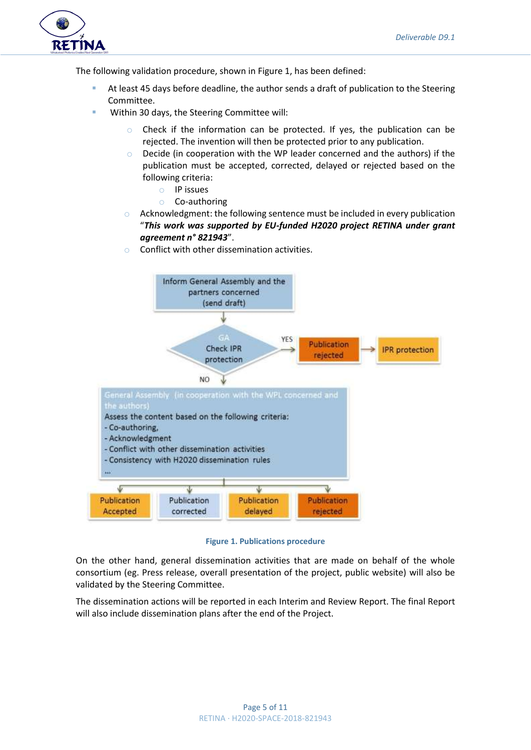

The following validation procedure, shown in [Figure 1,](#page-4-0) has been defined:

- At least 45 days before deadline, the author sends a draft of publication to the Steering Committee.
- Within 30 days, the Steering Committee will:
	- Check if the information can be protected. If yes, the publication can be rejected. The invention will then be protected prior to any publication.
	- o Decide (in cooperation with the WP leader concerned and the authors) if the publication must be accepted, corrected, delayed or rejected based on the following criteria:
		- o IP issues
		- o Co-authoring
	- $\circ$  Acknowledgment: the following sentence must be included in every publication "*This work was supported by EU-funded H2020 project RETINA under grant agreement n° 821943*".
	- Conflict with other dissemination activities.



**Figure 1. Publications procedure**

<span id="page-4-0"></span>On the other hand, general dissemination activities that are made on behalf of the whole consortium (eg. Press release, overall presentation of the project, public website) will also be validated by the Steering Committee.

The dissemination actions will be reported in each Interim and Review Report. The final Report will also include dissemination plans after the end of the Project.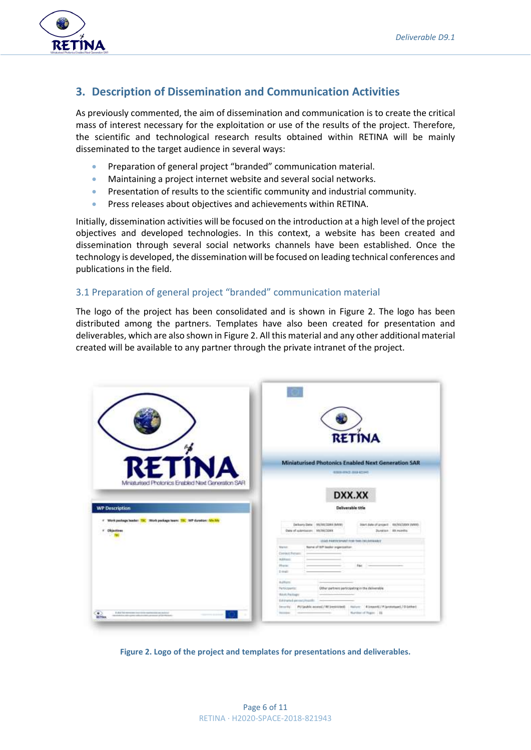

# <span id="page-5-0"></span>**3. Description of Dissemination and Communication Activities**

As previously commented, the aim of dissemination and communication is to create the critical mass of interest necessary for the exploitation or use of the results of the project. Therefore, the scientific and technological research results obtained within RETINA will be mainly disseminated to the target audience in several ways:

- Preparation of general project "branded" communication material.
- Maintaining a project internet website and several social networks.
- Presentation of results to the scientific community and industrial community.
- Press releases about objectives and achievements within RETINA.

Initially, dissemination activities will be focused on the introduction at a high level of the project objectives and developed technologies. In this context, a website has been created and dissemination through several social networks channels have been established. Once the technology is developed, the dissemination will be focused on leading technical conferences and publications in the field.

### <span id="page-5-1"></span>3.1 Preparation of general project "branded" communication material

The logo of the project has been consolidated and is shown in [Figure 2.](#page-5-2) The logo has been distributed among the partners. Templates have also been created for presentation and deliverables, which are also shown i[n Figure 2.](#page-5-2) All this material and any other additional material created will be available to any partner through the private intranet of the project.

|                                                                                                                                                        | <b>RETINA</b>                                                                                                                                    |  |  |
|--------------------------------------------------------------------------------------------------------------------------------------------------------|--------------------------------------------------------------------------------------------------------------------------------------------------|--|--|
| <b>RETINA</b>                                                                                                                                          | Miniaturised Photonics Enabled Next Generation SAR                                                                                               |  |  |
|                                                                                                                                                        | (61810-FPACE-TRED-62204E)                                                                                                                        |  |  |
| Miniaturised Photonics Enabled Next Generation SAR<br><b>WP Description</b>                                                                            | DXX.XX<br>Deliverable title                                                                                                                      |  |  |
| Work perhaps leader: TBC TWork perhaps team: TBC WP duration: Me Mi<br><b>Disactions</b><br><b>THE</b>                                                 | 1.11<br>Delivery Date: - 93/000/2280 (MAXII)<br>Start Bate of project 600/00/2000 IMRIS<br>that of submission: WARRIZORY<br>Duration: 100 months |  |  |
|                                                                                                                                                        | TEAM PARTICIPANT FOR THE THUNKARUT                                                                                                               |  |  |
|                                                                                                                                                        | Norw of WP leader expensation<br><b>Started</b>                                                                                                  |  |  |
|                                                                                                                                                        | Contest Persons                                                                                                                                  |  |  |
|                                                                                                                                                        | Address:<br><b>Hunter</b>                                                                                                                        |  |  |
|                                                                                                                                                        | Fax:<br>D-kwh                                                                                                                                    |  |  |
|                                                                                                                                                        |                                                                                                                                                  |  |  |
|                                                                                                                                                        | <b>Building</b>                                                                                                                                  |  |  |
|                                                                                                                                                        | Other partners participating in the deliverable.<br>Participants:                                                                                |  |  |
|                                                                                                                                                        | Work Periodic<br>-                                                                                                                               |  |  |
|                                                                                                                                                        | Extraned announcements.<br>PUTpublic access(/RE) (establed) Hallow: #1mport(/F)prototopael/O (other)<br>Denver Mar                               |  |  |
| A shot led representation may the dynamics and any majority<br>territorial da collecção en adecada a pola companheira de collaboração<br><b>BETHAM</b> | Number of Fages: 111<br>Trailer (<br><b>Contract</b>                                                                                             |  |  |

<span id="page-5-2"></span>**Figure 2. Logo of the project and templates for presentations and deliverables.**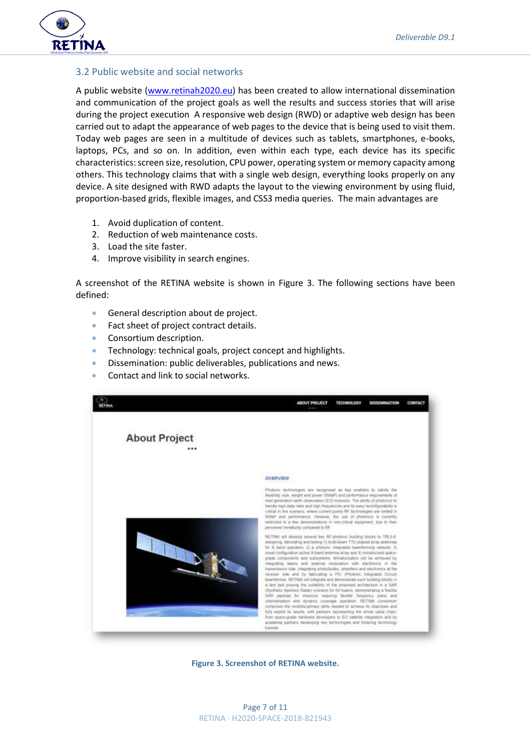

#### <span id="page-6-0"></span>3.2 Public website and social networks

A public website [\(www.retinah2020.eu\)](http://www.retinah2020.eu/) has been created to allow international dissemination and communication of the project goals as well the results and success stories that will arise during the project execution A responsive web design (RWD) or adaptive web design has been carried out to adapt the appearance of web pages to the device that is being used to visit them. Today web pages are seen in a multitude of devices such as tablets, smartphones, e-books, laptops, PCs, and so on. In addition, even within each type, each device has its specific characteristics: screen size, resolution, CPU power, operating system or memory capacity among others. This technology claims that with a single web design, everything looks properly on any device. A site designed with RWD adapts the layout to the viewing environment by using fluid, proportion-based grids, flexible images, and CSS3 media queries. The main advantages are

- 1. Avoid duplication of content.
- 2. Reduction of web maintenance costs.
- 3. Load the site faster.
- 4. Improve visibility in search engines.

A screenshot of the RETINA website is shown in [Figure 3.](#page-6-1) The following sections have been defined:

- General description about de project.
- Fact sheet of project contract details.
- Consortium description.
- Technology: technical goals, project concept and highlights.
- Dissemination: public deliverables, publications and news.
- Contact and link to social networks.



<span id="page-6-1"></span>**Figure 3. Screenshot of RETINA website.**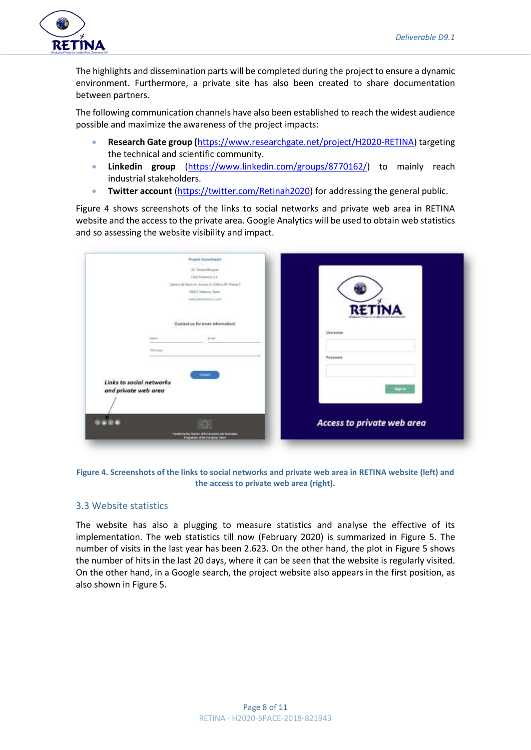

The highlights and dissemination parts will be completed during the project to ensure a dynamic environment. Furthermore, a private site has also been created to share documentation between partners.

The following communication channels have also been established to reach the widest audience possible and maximize the awareness of the project impacts:

- **Research Gate group (**[https://www.researchgate.net/project/H2020-RETINA\)](https://www.researchgate.net/project/H2020-RETINA) targeting the technical and scientific community.
- **Linkedin group** [\(https://www.linkedin.com/groups/8770162/\)](https://www.linkedin.com/groups/8770162/) to mainly reach industrial stakeholders.
- **Twitter account** [\(https://twitter.com/Retinah2020\)](https://twitter.com/Retinah2020) for addressing the general public.

[Figure 4](#page-7-0) shows screenshots of the links to social networks and private web area in RETINA website and the access to the private area. Google Analytics will be used to obtain web statistics and so assessing the website visibility and impact.

| DALPhabitra S.L.<br>Darrent de Venision Associat, Californi del Paulos 3 |                                 |
|--------------------------------------------------------------------------|---------------------------------|
| ANSIZ Veterra, Spen<br>water days make a court                           |                                 |
|                                                                          | <b>RETINA</b>                   |
|                                                                          |                                 |
| Contact as for more information!<br>전반위 발달이나 학원 가격이                      |                                 |
| <b>Antart</b><br><b>Lake Ave</b>                                         | <b><i><u>Utanroomse</u></i></b> |
| <b>Black of Auto</b>                                                     |                                 |
|                                                                          | Password                        |
| Garmel                                                                   |                                 |
| Links to social networks                                                 |                                 |
| and private web area                                                     | <b>Bank</b>                     |
|                                                                          |                                 |
|                                                                          |                                 |
|                                                                          | Access to private web area      |

<span id="page-7-0"></span>**Figure 4. Screenshots of the links to social networks and private web area in RETINA website (left) and the access to private web area (right).**

#### 3.3 Website statistics

The website has also a plugging to measure statistics and analyse the effective of its implementation. The web statistics till now (February 2020) is summarized in [Figure 5.](#page-8-1) The number of visits in the last year has been 2.623. On the other hand, the plot in [Figure 5](#page-8-1) shows the number of hits in the last 20 days, where it can be seen that the website is regularly visited. On the other hand, in a Google search, the project website also appears in the first position, as also shown in [Figure 5.](#page-8-1)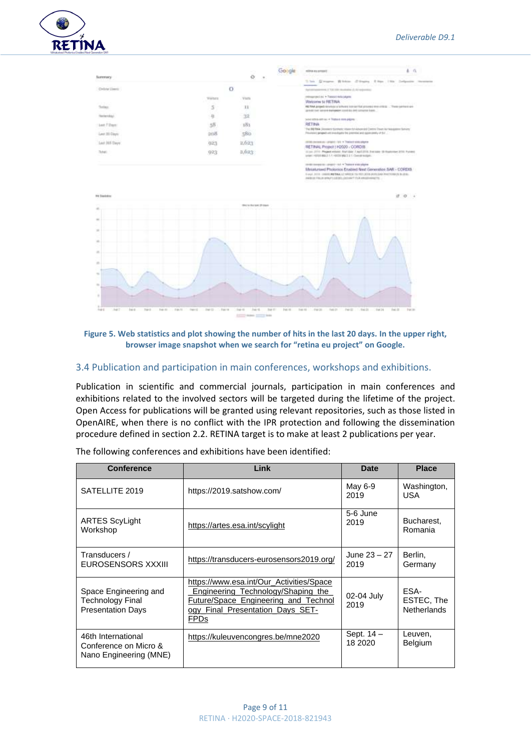

|                                                              |                                    |                        |                    | milesa quartum?                                                                                                                                     | $\alpha$                  |
|--------------------------------------------------------------|------------------------------------|------------------------|--------------------|-----------------------------------------------------------------------------------------------------------------------------------------------------|---------------------------|
| Sammary-                                                     |                                    | Ö                      |                    | This Gregor Biblio Clinate Like 198 Infective Houston                                                                                               |                           |
| Drive Lines:                                                 |                                    | $\circ$                |                    | Post increased Library and contact<br>Automotivement of VALUES studented at AU endeavoiral                                                          |                           |
|                                                              | <b>Warbers</b>                     | Virtual                |                    | crossposal as + Transvi educatare                                                                                                                   |                           |
| Today.                                                       | 5                                  | 11                     |                    | Wetcome to RETINA<br>RETIRA ANSWER GOVERNS & VIA ANNI SUN AAT TUESDAG AND UNITED. These contract are-                                               | <b>ALCOHOL:</b>           |
| Restaurance                                                  | 互                                  | 1928                   |                    | contact contract leaders of the contract materials and contract to be a                                                                             |                           |
| Lest 7 Days                                                  | 55                                 | 181                    |                    | wee straight as 4 Years may payer<br>RETINA                                                                                                         |                           |
| Last 30, Days:                                               | <b>SHAR</b>                        | 58b                    |                    | The BERNA January Symest, Warrist Advanced Central Days Air Assessme Symetry<br>Providence program with limitation by premises and approaches of SV |                           |
|                                                              |                                    |                        |                    | ARTES DESIRA AN INFORMATION A TRONGER WAS ARRANGED                                                                                                  |                           |
| Last 365 Days                                                | 023                                | 2.623                  |                    | RETINAL Project   H2020 / CORDS                                                                                                                     |                           |
| Total:                                                       | 023                                | 2,623                  |                    | 22 pc 2771 - Propot volume Alart Aan: 7 April 2778, 2 oct page 10 Kingdomen 2770. Furnace<br>(446) 10322-82317-12031 827-21 Constraints             | -----------               |
|                                                              |                                    |                        |                    | conditionment in company that in Themes were played                                                                                                 |                           |
|                                                              |                                    |                        |                    | Mesaturesed Photonics Enabled Neat Generation SAR - CORDID-                                                                                         |                           |
|                                                              |                                    |                        |                    | First, 2011 / FREE RETAALE 19923; TE 1931-2016 SUITERE PHOTOGES SUITE:<br>ANDER FROM BRAFFILIERELLISTAAT FLIA ARGEHINGERS                           |                           |
|                                                              |                                    | ISM In the last ST dam |                    |                                                                                                                                                     |                           |
|                                                              |                                    |                        |                    |                                                                                                                                                     |                           |
|                                                              |                                    |                        |                    |                                                                                                                                                     |                           |
|                                                              |                                    |                        |                    |                                                                                                                                                     |                           |
|                                                              |                                    |                        |                    |                                                                                                                                                     |                           |
|                                                              |                                    |                        |                    |                                                                                                                                                     |                           |
|                                                              |                                    |                        |                    |                                                                                                                                                     |                           |
|                                                              |                                    |                        |                    |                                                                                                                                                     |                           |
|                                                              |                                    |                        |                    |                                                                                                                                                     |                           |
|                                                              |                                    |                        |                    |                                                                                                                                                     |                           |
|                                                              |                                    |                        |                    |                                                                                                                                                     |                           |
|                                                              |                                    |                        |                    |                                                                                                                                                     |                           |
|                                                              |                                    |                        |                    |                                                                                                                                                     |                           |
| I sir il<br>Tup II<br>Tran-Atl<br>2 86 10<br>144.6<br>Just 7 | They 15<br>7.5003<br><b>Jak D.</b> | 1440<br>144.4          | 144.11<br>Fest All | Top 10<br>$-100-26$<br>$-146$ [E]<br><b>Jun DT</b><br>$7 - 106.31$                                                                                  | Ist It<br>Tot in<br>14634 |
|                                                              |                                    |                        |                    |                                                                                                                                                     |                           |

#### <span id="page-8-1"></span>**Figure 5. Web statistics and plot showing the number of hits in the last 20 days. In the upper right, browser image snapshot when we search for "retina eu project" on Google.**

#### <span id="page-8-0"></span>3.4 Publication and participation in main conferences, workshops and exhibitions.

Publication in scientific and commercial journals, participation in main conferences and exhibitions related to the involved sectors will be targeted during the lifetime of the project. Open Access for publications will be granted using relevant repositories, such as those listed in OpenAIRE, when there is no conflict with the IPR protection and following the dissemination procedure defined in section 2.2. RETINA target is to make at least 2 publications per year.

| <b>Conference</b>                                                     | Link                                                                                                                                                                             | <b>Date</b>              | <b>Place</b>                             |
|-----------------------------------------------------------------------|----------------------------------------------------------------------------------------------------------------------------------------------------------------------------------|--------------------------|------------------------------------------|
| SATELLITE 2019                                                        | https://2019.satshow.com/                                                                                                                                                        | May 6-9<br>2019          | Washington,<br><b>USA</b>                |
| <b>ARTES ScyLight</b><br>Workshop                                     | https://artes.esa.int/scylight                                                                                                                                                   | 5-6 June<br>2019         | Bucharest,<br>Romania                    |
| Transducers /<br>EUROSENSORS XXXIII                                   | https://transducers-eurosensors2019.org/                                                                                                                                         | June 23 - 27<br>2019     | Berlin,<br>Germany                       |
| Space Engineering and<br>Technology Final<br><b>Presentation Days</b> | https://www.esa.int/Our_Activities/Space<br>Engineering Technology/Shaping the<br><b>Future/Space Engineering and Technol</b><br>ogy_Final_Presentation_Days_SET-<br><b>FPDs</b> | 02-04 July<br>2019       | ESA-<br>ESTEC. The<br><b>Netherlands</b> |
| 46th International<br>Conference on Micro &<br>Nano Engineering (MNE) | https://kuleuvencongres.be/mne2020                                                                                                                                               | Sept. $14 -$<br>18 20 20 | Leuven,<br><b>Belgium</b>                |

The following conferences and exhibitions have been identified: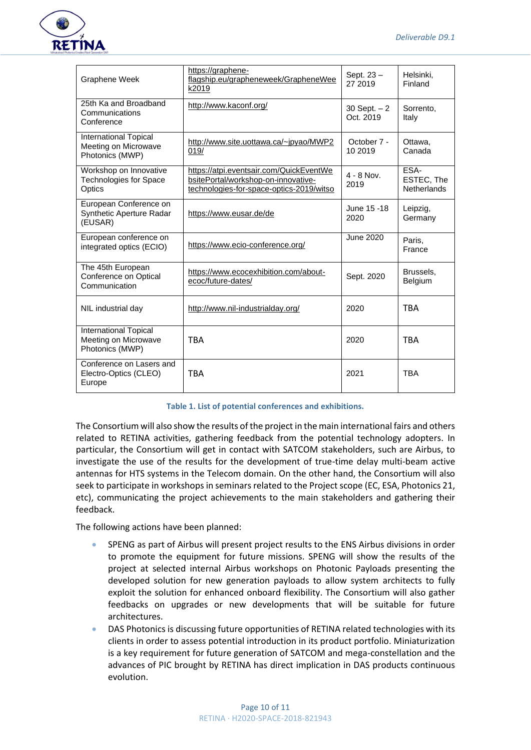

| <b>Graphene Week</b>                                                    | https://graphene-<br>flagship.eu/grapheneweek/GrapheneWee<br>k2019                                                         | Sept. 23 -<br>27 2019      | Helsinki,<br>Finland                     |
|-------------------------------------------------------------------------|----------------------------------------------------------------------------------------------------------------------------|----------------------------|------------------------------------------|
| 25th Ka and Broadband<br>Communications<br>Conference                   | http://www.kaconf.org/                                                                                                     | 30 Sept. $-2$<br>Oct. 2019 | Sorrento,<br>Italy                       |
| International Topical<br>Meeting on Microwave<br>Photonics (MWP)        | http://www.site.uottawa.ca/~jpyao/MWP2<br>019/                                                                             | October 7 -<br>10 2019     | Ottawa,<br>Canada                        |
| Workshop on Innovative<br><b>Technologies for Space</b><br>Optics       | https://atpi.eventsair.com/QuickEventWe<br>bsitePortal/workshop-on-innovative-<br>technologies-for-space-optics-2019/witso | $4 - 8$ Nov.<br>2019       | ESA-<br>ESTEC, The<br><b>Netherlands</b> |
| European Conference on<br>Synthetic Aperture Radar<br>(EUSAR)           | https://www.eusar.de/de                                                                                                    | June 15 -18<br>2020        | Leipzig,<br>Germany                      |
| European conference on<br>integrated optics (ECIO)                      | https://www.ecio-conference.org/                                                                                           | <b>June 2020</b>           | Paris,<br>France                         |
| The 45th European<br>Conference on Optical<br>Communication             | https://www.ecocexhibition.com/about-<br>ecoc/future-dates/                                                                | Sept. 2020                 | Brussels.<br>Belgium                     |
| NIL industrial day                                                      | http://www.nil-industrialday.org/                                                                                          | 2020                       | <b>TBA</b>                               |
| <b>International Topical</b><br>Meeting on Microwave<br>Photonics (MWP) | <b>TRA</b>                                                                                                                 | 2020                       | <b>TRA</b>                               |
| Conference on Lasers and<br>Electro-Optics (CLEO)<br>Europe             | <b>TRA</b>                                                                                                                 | 2021                       | <b>TBA</b>                               |

#### **Table 1. List of potential conferences and exhibitions.**

The Consortium will also show the results of the project in the main international fairs and others related to RETINA activities, gathering feedback from the potential technology adopters. In particular, the Consortium will get in contact with SATCOM stakeholders, such are Airbus, to investigate the use of the results for the development of true-time delay multi-beam active antennas for HTS systems in the Telecom domain. On the other hand, the Consortium will also seek to participate in workshops in seminars related to the Project scope (EC, ESA, Photonics 21, etc), communicating the project achievements to the main stakeholders and gathering their feedback.

The following actions have been planned:

- SPENG as part of Airbus will present project results to the ENS Airbus divisions in order to promote the equipment for future missions. SPENG will show the results of the project at selected internal Airbus workshops on Photonic Payloads presenting the developed solution for new generation payloads to allow system architects to fully exploit the solution for enhanced onboard flexibility. The Consortium will also gather feedbacks on upgrades or new developments that will be suitable for future architectures.
- DAS Photonics is discussing future opportunities of RETINA related technologies with its clients in order to assess potential introduction in its product portfolio. Miniaturization is a key requirement for future generation of SATCOM and mega-constellation and the advances of PIC brought by RETINA has direct implication in DAS products continuous evolution.